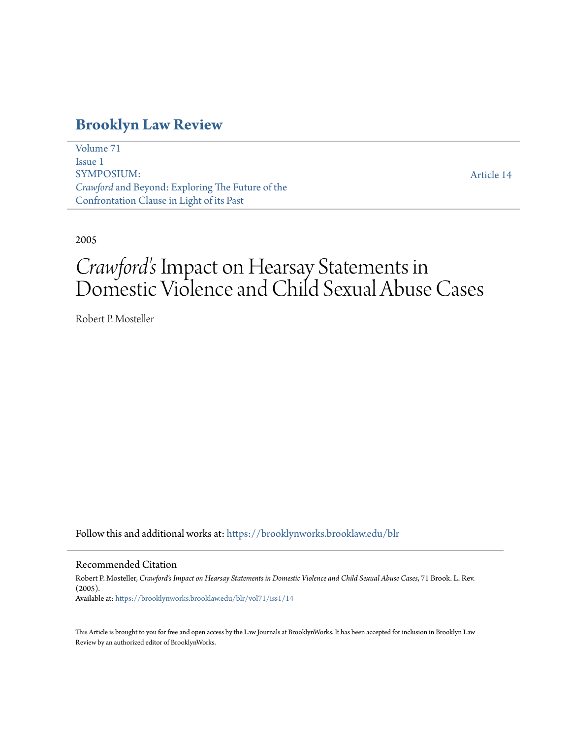### **[Brooklyn Law Review](https://brooklynworks.brooklaw.edu/blr?utm_source=brooklynworks.brooklaw.edu%2Fblr%2Fvol71%2Fiss1%2F14&utm_medium=PDF&utm_campaign=PDFCoverPages)**

[Volume 71](https://brooklynworks.brooklaw.edu/blr/vol71?utm_source=brooklynworks.brooklaw.edu%2Fblr%2Fvol71%2Fiss1%2F14&utm_medium=PDF&utm_campaign=PDFCoverPages) [Issue 1](https://brooklynworks.brooklaw.edu/blr/vol71/iss1?utm_source=brooklynworks.brooklaw.edu%2Fblr%2Fvol71%2Fiss1%2F14&utm_medium=PDF&utm_campaign=PDFCoverPages) SYMPOSIUM: *Crawford* and Beyond: Exploring The Future of the Confrontation Clause in Light of its Past

[Article 14](https://brooklynworks.brooklaw.edu/blr/vol71/iss1/14?utm_source=brooklynworks.brooklaw.edu%2Fblr%2Fvol71%2Fiss1%2F14&utm_medium=PDF&utm_campaign=PDFCoverPages)

2005

# *Crawford's* Impact on Hearsay Statements in Domestic Violence and Child Sexual Abuse Cases

Robert P. Mosteller

Follow this and additional works at: [https://brooklynworks.brooklaw.edu/blr](https://brooklynworks.brooklaw.edu/blr?utm_source=brooklynworks.brooklaw.edu%2Fblr%2Fvol71%2Fiss1%2F14&utm_medium=PDF&utm_campaign=PDFCoverPages)

#### Recommended Citation

Robert P. Mosteller, *Crawford's Impact on Hearsay Statements in Domestic Violence and Child Sexual Abuse Cases*, 71 Brook. L. Rev. (2005). Available at: [https://brooklynworks.brooklaw.edu/blr/vol71/iss1/14](https://brooklynworks.brooklaw.edu/blr/vol71/iss1/14?utm_source=brooklynworks.brooklaw.edu%2Fblr%2Fvol71%2Fiss1%2F14&utm_medium=PDF&utm_campaign=PDFCoverPages)

This Article is brought to you for free and open access by the Law Journals at BrooklynWorks. It has been accepted for inclusion in Brooklyn Law Review by an authorized editor of BrooklynWorks.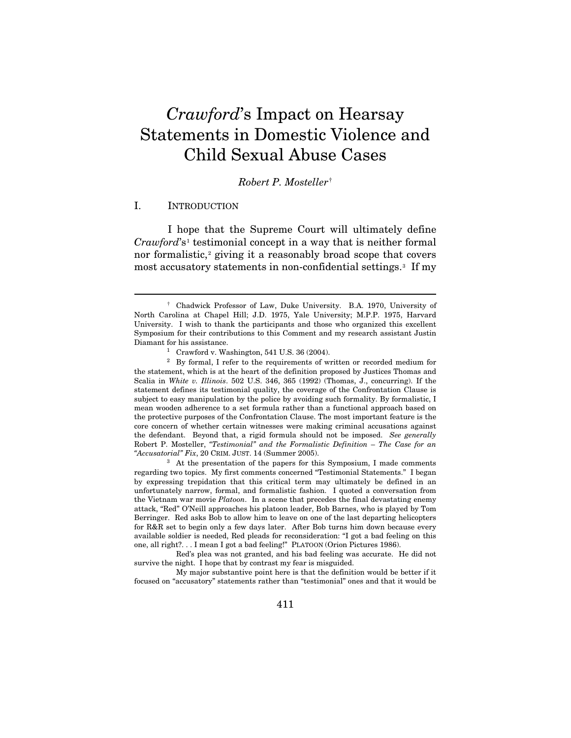## *Crawford*'s Impact on Hearsay Statements in Domestic Violence and Child Sexual Abuse Cases

#### *Robert P. Mosteller*[†](#page-1-0)

#### I. INTRODUCTION

 $\overline{a}$ 

I hope that the Supreme Court will ultimately define *Crawford*'s[1](#page-1-1) testimonial concept in a way that is neither formal nor formalistic,<sup>[2](#page-1-2)</sup> giving it a reasonably broad scope that covers most accusatory statements in non-confidential settings.<sup>3</sup> If my

<span id="page-1-3"></span>regarding two topics. My first comments concerned "Testimonial Statements." I began by expressing trepidation that this critical term may ultimately be defined in an unfortunately narrow, formal, and formalistic fashion. I quoted a conversation from the Vietnam war movie *Platoon*. In a scene that precedes the final devastating enemy attack, "Red" O'Neill approaches his platoon leader, Bob Barnes, who is played by Tom Berringer. Red asks Bob to allow him to leave on one of the last departing helicopters for R&R set to begin only a few days later. After Bob turns him down because every available soldier is needed, Red pleads for reconsideration: "I got a bad feeling on this one, all right?. . . I mean I got a bad feeling!" PLATOON (Orion Pictures 1986).

 Red's plea was not granted, and his bad feeling was accurate. He did not survive the night. I hope that by contrast my fear is misguided.

 My major substantive point here is that the definition would be better if it focused on "accusatory" statements rather than "testimonial" ones and that it would be

<span id="page-1-0"></span> <sup>†</sup> Chadwick Professor of Law, Duke University. B.A. 1970, University of North Carolina at Chapel Hill; J.D. 1975, Yale University; M.P.P. 1975, Harvard University. I wish to thank the participants and those who organized this excellent Symposium for their contributions to this Comment and my research assistant Justin Diamant for his assistance.<br><sup>1</sup> Crawford v. Washington, 541 U.S. 36 (2004).

<span id="page-1-2"></span><span id="page-1-1"></span><sup>&</sup>lt;sup>2</sup> By formal, I refer to the requirements of written or recorded medium for the statement, which is at the heart of the definition proposed by Justices Thomas and Scalia in *White v. Illinois*. 502 U.S. 346, 365 (1992) (Thomas, J., concurring). If the statement defines its testimonial quality, the coverage of the Confrontation Clause is subject to easy manipulation by the police by avoiding such formality. By formalistic, I mean wooden adherence to a set formula rather than a functional approach based on the protective purposes of the Confrontation Clause. The most important feature is the core concern of whether certain witnesses were making criminal accusations against the defendant. Beyond that, a rigid formula should not be imposed. *See generally* Robert P. Mosteller, *"Testimonial" and the Formalistic Definition* – *The Case for an "Accusatorial" Fix*, 20 CRIM. JUST. 14 (Summer 2005). 3 At the presentation of the papers for this Symposium, I made comments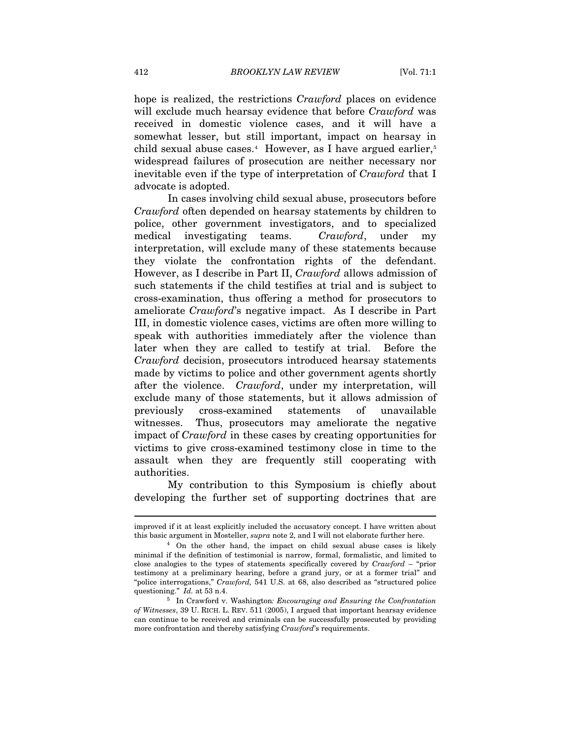hope is realized, the restrictions *Crawford* places on evidence will exclude much hearsay evidence that before *Crawford* was received in domestic violence cases, and it will have a somewhat lesser, but still important, impact on hearsay in child sexual abuse cases. $4$  However, as I have argued earlier, $5$ widespread failures of prosecution are neither necessary nor inevitable even if the type of interpretation of *Crawford* that I advocate is adopted.

In cases involving child sexual abuse, prosecutors before *Crawford* often depended on hearsay statements by children to police, other government investigators, and to specialized medical investigating teams. *Crawford*, under my interpretation, will exclude many of these statements because they violate the confrontation rights of the defendant. However, as I describe in Part II, *Crawford* allows admission of such statements if the child testifies at trial and is subject to cross-examination, thus offering a method for prosecutors to ameliorate *Crawford*'s negative impact. As I describe in Part III, in domestic violence cases, victims are often more willing to speak with authorities immediately after the violence than later when they are called to testify at trial. Before the *Crawford* decision, prosecutors introduced hearsay statements made by victims to police and other government agents shortly after the violence. *Crawford*, under my interpretation, will exclude many of those statements, but it allows admission of previously cross-examined statements of unavailable witnesses. Thus, prosecutors may ameliorate the negative impact of *Crawford* in these cases by creating opportunities for victims to give cross-examined testimony close in time to the assault when they are frequently still cooperating with authorities.

My contribution to this Symposium is chiefly about developing the further set of supporting doctrines that are

l

improved if it at least explicitly included the accusatory concept. I have written about this basic argument in Mosteller, *supra* note 2, and I will not elaborate further here.<br><sup>4</sup> On the other hand, the impact on child sexual abuse cases is likely

<span id="page-2-0"></span>minimal if the definition of testimonial is narrow, formal, formalistic, and limited to close analogies to the types of statements specifically covered by *Crawford* – "prior testimony at a preliminary hearing, before a grand jury, or at a former trial" and "police interrogations," *Crawford*, 541 U.S. at 68, also described as "structured police questioning." *Id.* at 53 n.4.

<span id="page-2-1"></span><sup>&</sup>lt;sup>5</sup> In Crawford v. Washington: *Encouraging and Ensuring the Confrontation of Witnesses*, 39 U. RICH. L. REV. 511 (2005), I argued that important hearsay evidence can continue to be received and criminals can be successfully prosecuted by providing more confrontation and thereby satisfying *Crawford*'s requirements.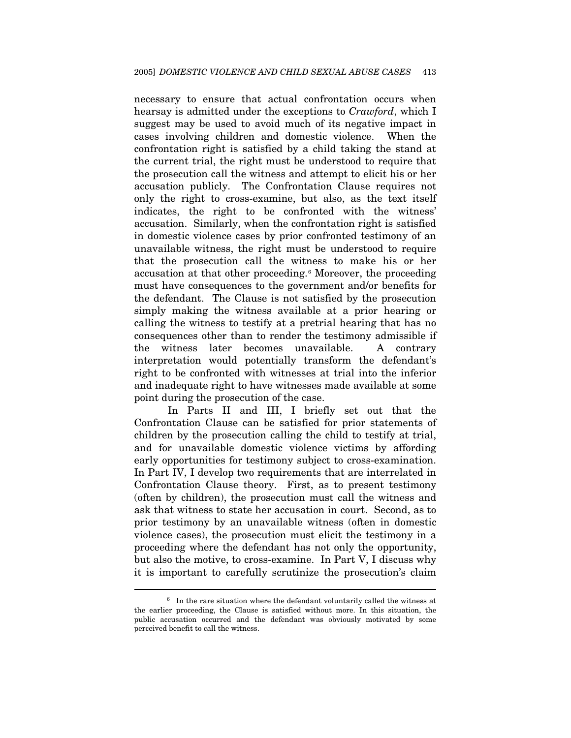necessary to ensure that actual confrontation occurs when hearsay is admitted under the exceptions to *Crawford*, which I suggest may be used to avoid much of its negative impact in cases involving children and domestic violence. When the confrontation right is satisfied by a child taking the stand at the current trial, the right must be understood to require that the prosecution call the witness and attempt to elicit his or her accusation publicly. The Confrontation Clause requires not only the right to cross-examine, but also, as the text itself indicates, the right to be confronted with the witness' accusation. Similarly, when the confrontation right is satisfied in domestic violence cases by prior confronted testimony of an unavailable witness, the right must be understood to require that the prosecution call the witness to make his or her accusation at that other proceeding.<sup>6</sup> Moreover, the proceeding must have consequences to the government and/or benefits for the defendant. The Clause is not satisfied by the prosecution simply making the witness available at a prior hearing or calling the witness to testify at a pretrial hearing that has no consequences other than to render the testimony admissible if the witness later becomes unavailable. A contrary interpretation would potentially transform the defendant's right to be confronted with witnesses at trial into the inferior and inadequate right to have witnesses made available at some point during the prosecution of the case.

In Parts II and III, I briefly set out that the Confrontation Clause can be satisfied for prior statements of children by the prosecution calling the child to testify at trial, and for unavailable domestic violence victims by affording early opportunities for testimony subject to cross-examination. In Part IV, I develop two requirements that are interrelated in Confrontation Clause theory. First, as to present testimony (often by children), the prosecution must call the witness and ask that witness to state her accusation in court. Second, as to prior testimony by an unavailable witness (often in domestic violence cases), the prosecution must elicit the testimony in a proceeding where the defendant has not only the opportunity, but also the motive, to cross-examine. In Part V, I discuss why it is important to carefully scrutinize the prosecution's claim

<span id="page-3-0"></span> $6\;$  In the rare situation where the defendant voluntarily called the witness at the earlier proceeding, the Clause is satisfied without more. In this situation, the public accusation occurred and the defendant was obviously motivated by some perceived benefit to call the witness.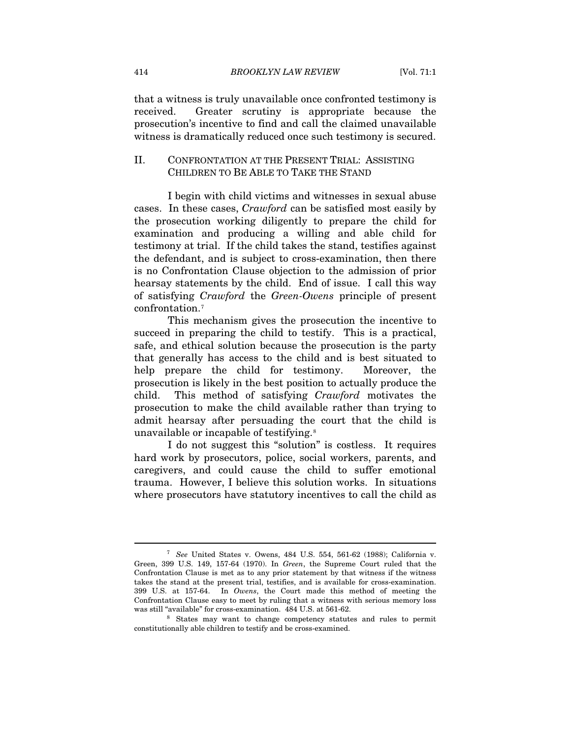that a witness is truly unavailable once confronted testimony is received. Greater scrutiny is appropriate because the prosecution's incentive to find and call the claimed unavailable witness is dramatically reduced once such testimony is secured.

#### II. CONFRONTATION AT THE PRESENT TRIAL: ASSISTING CHILDREN TO BE ABLE TO TAKE THE STAND

I begin with child victims and witnesses in sexual abuse cases. In these cases, *Crawford* can be satisfied most easily by the prosecution working diligently to prepare the child for examination and producing a willing and able child for testimony at trial. If the child takes the stand, testifies against the defendant, and is subject to cross-examination, then there is no Confrontation Clause objection to the admission of prior hearsay statements by the child. End of issue. I call this way of satisfying *Crawford* the *Green-Owens* principle of present confrontation.[7](#page-4-0)

This mechanism gives the prosecution the incentive to succeed in preparing the child to testify. This is a practical, safe, and ethical solution because the prosecution is the party that generally has access to the child and is best situated to help prepare the child for testimony. Moreover, the prosecution is likely in the best position to actually produce the child. This method of satisfying *Crawford* motivates the prosecution to make the child available rather than trying to admit hearsay after persuading the court that the child is unavailable or incapable of testifying.[8](#page-4-1)

I do not suggest this "solution" is costless. It requires hard work by prosecutors, police, social workers, parents, and caregivers, and could cause the child to suffer emotional trauma. However, I believe this solution works. In situations where prosecutors have statutory incentives to call the child as

<span id="page-4-0"></span><sup>7</sup> *See* United States v. Owens, 484 U.S. 554, 561-62 (1988); California v. Green, 399 U.S. 149, 157-64 (1970). In *Green*, the Supreme Court ruled that the Confrontation Clause is met as to any prior statement by that witness if the witness takes the stand at the present trial, testifies, and is available for cross-examination. 399 U.S. at 157-64. In *Owens*, the Court made this method of meeting the Confrontation Clause easy to meet by ruling that a witness with serious memory loss

<span id="page-4-1"></span> $8$  States may want to change competency statutes and rules to permit constitutionally able children to testify and be cross-examined.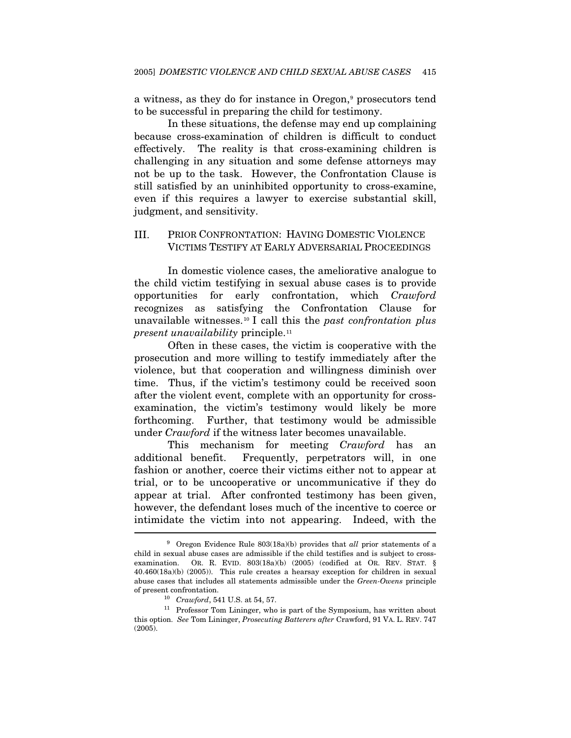a witness, as they do for instance in Oregon,<sup>9</sup> prosecutors tend to be successful in preparing the child for testimony.

In these situations, the defense may end up complaining because cross-examination of children is difficult to conduct effectively. The reality is that cross-examining children is challenging in any situation and some defense attorneys may not be up to the task. However, the Confrontation Clause is still satisfied by an uninhibited opportunity to cross-examine, even if this requires a lawyer to exercise substantial skill, judgment, and sensitivity.

#### III. PRIOR CONFRONTATION: HAVING DOMESTIC VIOLENCE VICTIMS TESTIFY AT EARLY ADVERSARIAL PROCEEDINGS

In domestic violence cases, the ameliorative analogue to the child victim testifying in sexual abuse cases is to provide opportunities for early confrontation, which *Crawford*  recognizes as satisfying the Confrontation Clause for unavailable witnesses.[1](#page-5-1)0 I call this the *past confrontation plus present unavailability* principle.[1](#page-5-2)1

Often in these cases, the victim is cooperative with the prosecution and more willing to testify immediately after the violence, but that cooperation and willingness diminish over time. Thus, if the victim's testimony could be received soon after the violent event, complete with an opportunity for crossexamination, the victim's testimony would likely be more forthcoming. Further, that testimony would be admissible under *Crawford* if the witness later becomes unavailable.

This mechanism for meeting *Crawford* has an additional benefit. Frequently, perpetrators will, in one fashion or another, coerce their victims either not to appear at trial, or to be uncooperative or uncommunicative if they do appear at trial. After confronted testimony has been given, however, the defendant loses much of the incentive to coerce or intimidate the victim into not appearing. Indeed, with the Ï

<span id="page-5-0"></span><sup>9</sup> Oregon Evidence Rule 803(18a)(b) provides that *all* prior statements of a child in sexual abuse cases are admissible if the child testifies and is subject to crossexamination. OR. R. EVID. 803(18a)(b) (2005) (codified at OR. REV. STAT. § 40.460(18a)(b) (2005)). This rule creates a hearsay exception for children in sexual abuse cases that includes all statements admissible under the *Green-Owens* principle

<span id="page-5-2"></span><span id="page-5-1"></span>of present confrontation.<br><sup>10</sup> *Crawford*, 541 U.S. at 54, 57.<br><sup>11</sup> Professor Tom Lininger, who is part of the Symposium, has written about this option. *See* Tom Lininger, *Prosecuting Batterers after* Crawford, 91 VA. L. REV. 747 (2005).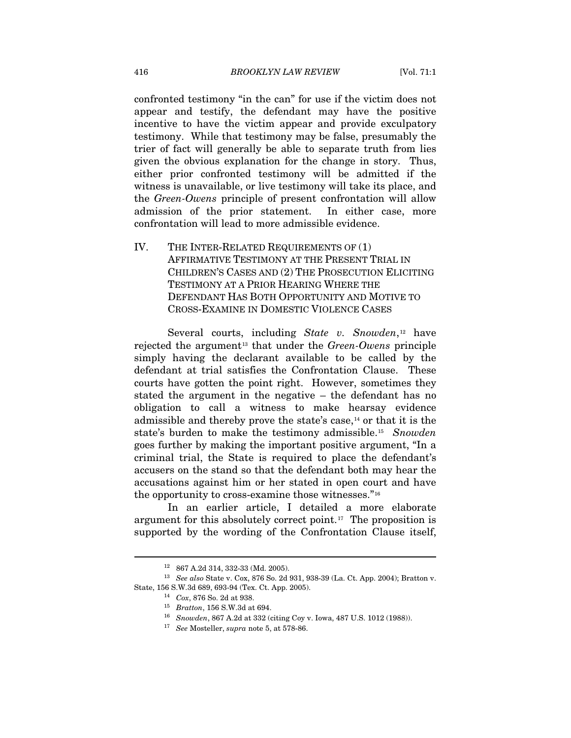confronted testimony "in the can" for use if the victim does not appear and testify, the defendant may have the positive incentive to have the victim appear and provide exculpatory testimony. While that testimony may be false, presumably the trier of fact will generally be able to separate truth from lies given the obvious explanation for the change in story. Thus, either prior confronted testimony will be admitted if the witness is unavailable, or live testimony will take its place, and the *Green-Owens* principle of present confrontation will allow admission of the prior statement. In either case, more confrontation will lead to more admissible evidence.

IV. THE INTER-RELATED REQUIREMENTS OF (1) AFFIRMATIVE TESTIMONY AT THE PRESENT TRIAL IN CHILDREN'S CASES AND (2) THE PROSECUTION ELICITING TESTIMONY AT A PRIOR HEARING WHERE THE DEFENDANT HAS BOTH OPPORTUNITY AND MOTIVE TO CROSS-EXAMINE IN DOMESTIC VIOLENCE CASES

Several courts, including *State v. Snowden*,<sup>[12](#page-6-0)</sup> have rejected the argument<sup>[13](#page-6-1)</sup> that under the *Green-Owens* principle simply having the declarant available to be called by the defendant at trial satisfies the Confrontation Clause. These courts have gotten the point right. However, sometimes they stated the argument in the negative – the defendant has no obligation to call a witness to make hearsay evidence admissible and thereby prove the state's case, $<sup>14</sup>$  $<sup>14</sup>$  $<sup>14</sup>$  or that it is the</sup> state's burden to make the testimony admissible[.15](#page-6-3) *Snowden* goes further by making the important positive argument, "In a criminal trial, the State is required to place the defendant's accusers on the stand so that the defendant both may hear the accusations against him or her stated in open court and have the opportunity to cross-examine those witnesses."[16](#page-6-4)

In an earlier article, I detailed a more elaborate argument for this absolutely correct point.[1](#page-6-5)7 The proposition is supported by the wording of the Confrontation Clause itself,

<sup>12 867</sup> A.2d 314, 332-33 (Md. 2005).

<span id="page-6-5"></span><span id="page-6-4"></span><span id="page-6-3"></span><span id="page-6-2"></span><span id="page-6-1"></span><span id="page-6-0"></span><sup>13</sup> *See also* State v. Cox, 876 So. 2d 931, 938-39 (La. Ct. App. 2004); Bratton v. State, 156 S.W.3d 689, 693-94 (Tex. Ct. App. 2005). 14 *Cox*, 876 So. 2d at 938.

<sup>15</sup> *Bratton*, 156 S.W.3d at 694. 16 *Snowden*, 867 A.2d at 332 (citing Coy v. Iowa, 487 U.S. 1012 (1988)). 17 *See* Mosteller, *supra* note 5, at 578-86.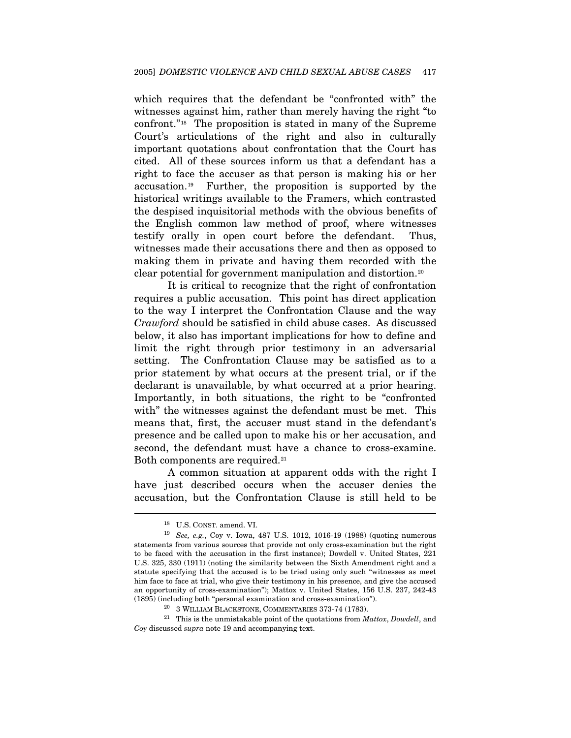which requires that the defendant be "confronted with" the witnesses against him, rather than merely having the right "to confront."[1](#page-7-0)8 The proposition is stated in many of the Supreme Court's articulations of the right and also in culturally important quotations about confrontation that the Court has cited. All of these sources inform us that a defendant has a right to face the accuser as that person is making his or her accusation.[1](#page-7-1)9 Further, the proposition is supported by the historical writings available to the Framers, which contrasted the despised inquisitorial methods with the obvious benefits of the English common law method of proof, where witnesses testify orally in open court before the defendant. Thus, witnesses made their accusations there and then as opposed to making them in private and having them recorded with the clear potential for government manipulation and distortion.[2](#page-7-2)0

It is critical to recognize that the right of confrontation requires a public accusation. This point has direct application to the way I interpret the Confrontation Clause and the way *Crawford* should be satisfied in child abuse cases. As discussed below, it also has important implications for how to define and limit the right through prior testimony in an adversarial setting. The Confrontation Clause may be satisfied as to a prior statement by what occurs at the present trial, or if the declarant is unavailable, by what occurred at a prior hearing. Importantly, in both situations, the right to be "confronted with" the witnesses against the defendant must be met. This means that, first, the accuser must stand in the defendant's presence and be called upon to make his or her accusation, and second, the defendant must have a chance to cross-examine. Both components are required.<sup>[2](#page-7-3)1</sup>

A common situation at apparent odds with the right I have just described occurs when the accuser denies the accusation, but the Confrontation Clause is still held to be

<sup>18</sup> U.S. CONST. amend. VI.

<span id="page-7-1"></span><span id="page-7-0"></span><sup>19</sup> *See, e.g.*, Coy v. Iowa, 487 U.S. 1012, 1016-19 (1988) (quoting numerous statements from various sources that provide not only cross-examination but the right to be faced with the accusation in the first instance); Dowdell v. United States, 221 U.S. 325, 330 (1911) (noting the similarity between the Sixth Amendment right and a statute specifying that the accused is to be tried using only such "witnesses as meet him face to face at trial, who give their testimony in his presence, and give the accused an opportunity of cross-examination"); Mattox v. United States, 156 U.S. 237, 242-43

<span id="page-7-3"></span><span id="page-7-2"></span><sup>% (1895) (</sup>including both "personal examination and cross-examination"). 20 % 3 WILLIAM BLACKSTONE, COMMENTARIES 373-74 (1783). 21 This is the unmistakable point of the quotations from *Mattox*, *Dowdell*, and *Coy* discussed *supra* note 19 and accompanying text.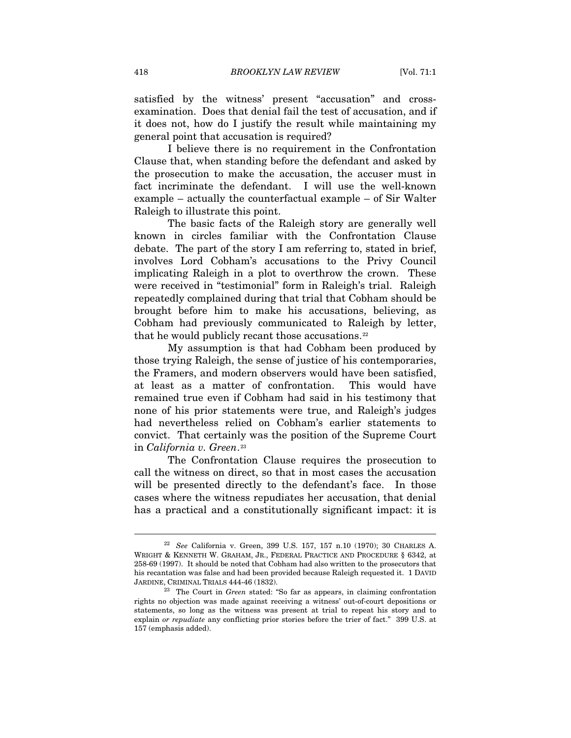satisfied by the witness' present "accusation" and crossexamination. Does that denial fail the test of accusation, and if it does not, how do I justify the result while maintaining my general point that accusation is required?

I believe there is no requirement in the Confrontation Clause that, when standing before the defendant and asked by the prosecution to make the accusation, the accuser must in fact incriminate the defendant. I will use the well-known example – actually the counterfactual example – of Sir Walter Raleigh to illustrate this point.

The basic facts of the Raleigh story are generally well known in circles familiar with the Confrontation Clause debate. The part of the story I am referring to, stated in brief, involves Lord Cobham's accusations to the Privy Council implicating Raleigh in a plot to overthrow the crown. These were received in "testimonial" form in Raleigh's trial. Raleigh repeatedly complained during that trial that Cobham should be brought before him to make his accusations, believing, as Cobham had previously communicated to Raleigh by letter, that he would publicly recant those accusations.<sup>[22](#page-8-0)</sup>

My assumption is that had Cobham been produced by those trying Raleigh, the sense of justice of his contemporaries, the Framers, and modern observers would have been satisfied, at least as a matter of confrontation. This would have remained true even if Cobham had said in his testimony that none of his prior statements were true, and Raleigh's judges had nevertheless relied on Cobham's earlier statements to convict. That certainly was the position of the Supreme Court in *California v. Green*.<sup>[2](#page-8-1)3</sup>

The Confrontation Clause requires the prosecution to call the witness on direct, so that in most cases the accusation will be presented directly to the defendant's face. In those cases where the witness repudiates her accusation, that denial has a practical and a constitutionally significant impact: it is

<span id="page-8-0"></span><sup>22</sup> *See* California v. Green, 399 U.S. 157, 157 n.10 (1970); 30 CHARLES A. WRIGHT & KENNETH W. GRAHAM, JR., FEDERAL PRACTICE AND PROCEDURE § 6342, at 258-69 (1997). It should be noted that Cobham had also written to the prosecutors that his recantation was false and had been provided because Raleigh requested it. 1 DAVID JARDINE, CRIMINAL TRIALS 444-46 (1832). 23 The Court in *Green* stated: "So far as appears, in claiming confrontation

<span id="page-8-1"></span>rights no objection was made against receiving a witness' out-of-court depositions or statements, so long as the witness was present at trial to repeat his story and to explain *or repudiate* any conflicting prior stories before the trier of fact." 399 U.S. at 157 (emphasis added).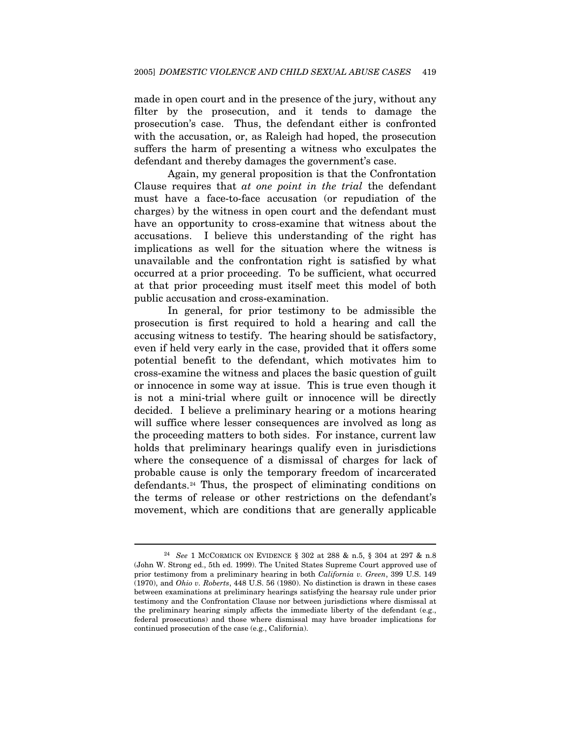made in open court and in the presence of the jury, without any filter by the prosecution, and it tends to damage the prosecution's case. Thus, the defendant either is confronted with the accusation, or, as Raleigh had hoped, the prosecution suffers the harm of presenting a witness who exculpates the defendant and thereby damages the government's case.

Again, my general proposition is that the Confrontation Clause requires that *at one point in the trial* the defendant must have a face-to-face accusation (or repudiation of the charges) by the witness in open court and the defendant must have an opportunity to cross-examine that witness about the accusations. I believe this understanding of the right has implications as well for the situation where the witness is unavailable and the confrontation right is satisfied by what occurred at a prior proceeding. To be sufficient, what occurred at that prior proceeding must itself meet this model of both public accusation and cross-examination.

In general, for prior testimony to be admissible the prosecution is first required to hold a hearing and call the accusing witness to testify. The hearing should be satisfactory, even if held very early in the case, provided that it offers some potential benefit to the defendant, which motivates him to cross-examine the witness and places the basic question of guilt or innocence in some way at issue. This is true even though it is not a mini-trial where guilt or innocence will be directly decided. I believe a preliminary hearing or a motions hearing will suffice where lesser consequences are involved as long as the proceeding matters to both sides. For instance, current law holds that preliminary hearings qualify even in jurisdictions where the consequence of a dismissal of charges for lack of probable cause is only the temporary freedom of incarcerated defendants.[24](#page-9-0) Thus, the prospect of eliminating conditions on the terms of release or other restrictions on the defendant's movement, which are conditions that are generally applicable

l

<span id="page-9-0"></span><sup>24</sup> *See* 1 MCCORMICK ON EVIDENCE § 302 at 288 & n.5, § 304 at 297 & n.8 (John W. Strong ed., 5th ed. 1999). The United States Supreme Court approved use of prior testimony from a preliminary hearing in both *California v. Green*, 399 U.S. 149 (1970), and *Ohio v. Roberts*, 448 U.S. 56 (1980). No distinction is drawn in these cases between examinations at preliminary hearings satisfying the hearsay rule under prior testimony and the Confrontation Clause nor between jurisdictions where dismissal at the preliminary hearing simply affects the immediate liberty of the defendant (e.g., federal prosecutions) and those where dismissal may have broader implications for continued prosecution of the case (e.g., California).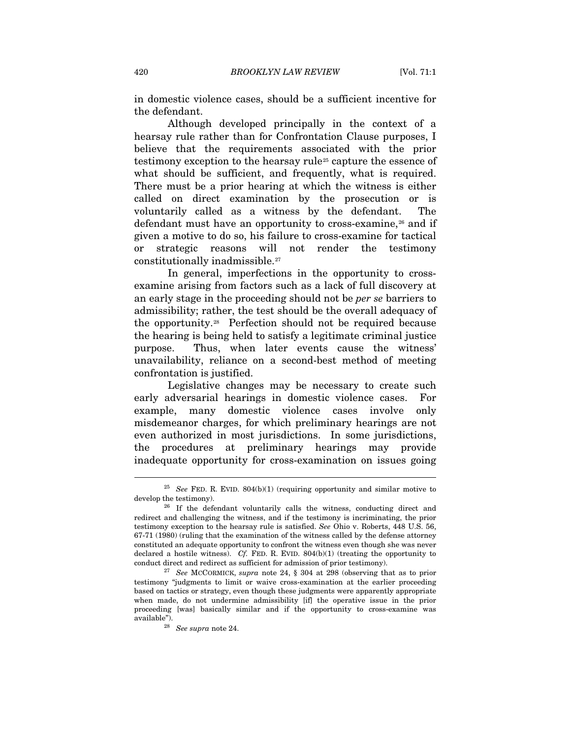in domestic violence cases, should be a sufficient incentive for the defendant.

Although developed principally in the context of a hearsay rule rather than for Confrontation Clause purposes, I believe that the requirements associated with the prior testimony exception to the hearsay rule<sup>[2](#page-10-0)5</sup> capture the essence of what should be sufficient, and frequently, what is required. There must be a prior hearing at which the witness is either called on direct examination by the prosecution or is voluntarily called as a witness by the defendant. The defendant must have an opportunity to cross-examine,<sup>[26](#page-10-1)</sup> and if given a motive to do so, his failure to cross-examine for tactical strategic reasons will not render the testimony constitutionally inadmissible.[2](#page-10-2)7

In general, imperfections in the opportunity to crossexamine arising from factors such as a lack of full discovery at an early stage in the proceeding should not be *per se* barriers to admissibility; rather, the test should be the overall adequacy of the opportunity.[2](#page-10-3)8 Perfection should not be required because the hearing is being held to satisfy a legitimate criminal justice purpose. Thus, when later events cause the witness' unavailability, reliance on a second-best method of meeting confrontation is justified.

Legislative changes may be necessary to create such early adversarial hearings in domestic violence cases. For example, many domestic violence cases involve only misdemeanor charges, for which preliminary hearings are not even authorized in most jurisdictions. In some jurisdictions, the procedures at preliminary hearings may provide inadequate opportunity for cross-examination on issues going

<span id="page-10-0"></span> $^{25}$   $\,$   $\,$   $\,$  FeD. R. EVID. 804(b)(1) (requiring opportunity and similar motive to develop the testimony).

<span id="page-10-1"></span> $26$  If the defendant voluntarily calls the witness, conducting direct and redirect and challenging the witness, and if the testimony is incriminating, the prior testimony exception to the hearsay rule is satisfied. *See* Ohio v. Roberts, 448 U.S. 56, 67-71 (1980) (ruling that the examination of the witness called by the defense attorney constituted an adequate opportunity to confront the witness even though she was never declared a hostile witness). *Cf.* FED. R. EVID.  $804(b)(1)$  (treating the opportunity to conduct direct and redirect as sufficient for admission of prior testimony). 27 *See* MCCORMICK, *supra* note 24, § 304 at 298 (observing that as to prior

<span id="page-10-3"></span><span id="page-10-2"></span>testimony "judgments to limit or waive cross-examination at the earlier proceeding based on tactics or strategy, even though these judgments were apparently appropriate when made, do not undermine admissibility [if] the operative issue in the prior proceeding [was] basically similar and if the opportunity to cross-examine was available"). 28 *See supra* note 24.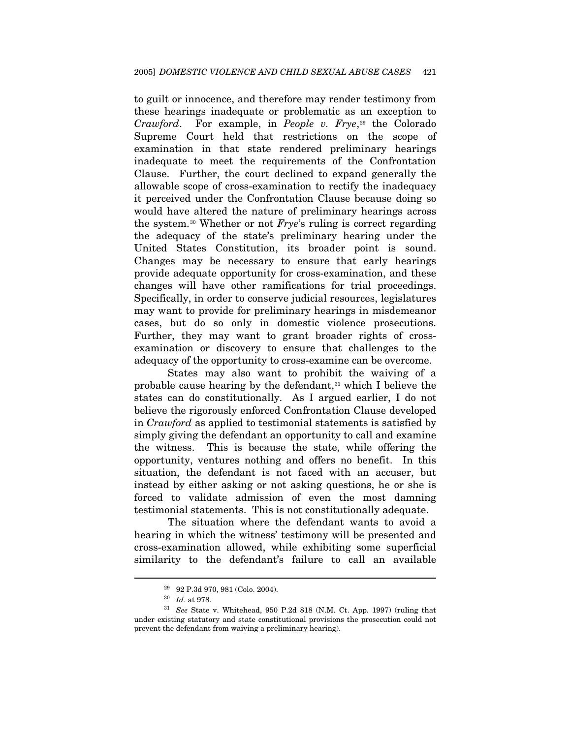to guilt or innocence, and therefore may render testimony from these hearings inadequate or problematic as an exception to *Crawford.* For example, in *People v. Frye*<sup>[2](#page-11-0)9</sup> the Colorado Supreme Court held that restrictions on the scope of examination in that state rendered preliminary hearings inadequate to meet the requirements of the Confrontation Clause. Further, the court declined to expand generally the allowable scope of cross-examination to rectify the inadequacy it perceived under the Confrontation Clause because doing so would have altered the nature of preliminary hearings across the system.[30](#page-11-1) Whether or not *Frye*'s ruling is correct regarding the adequacy of the state's preliminary hearing under the United States Constitution, its broader point is sound. Changes may be necessary to ensure that early hearings provide adequate opportunity for cross-examination, and these changes will have other ramifications for trial proceedings. Specifically, in order to conserve judicial resources, legislatures may want to provide for preliminary hearings in misdemeanor cases, but do so only in domestic violence prosecutions. Further, they may want to grant broader rights of crossexamination or discovery to ensure that challenges to the adequacy of the opportunity to cross-examine can be overcome.

States may also want to prohibit the waiving of a probable cause hearing by the defendant, $31$  $31$  which I believe the states can do constitutionally. As I argued earlier, I do not believe the rigorously enforced Confrontation Clause developed in *Crawford* as applied to testimonial statements is satisfied by simply giving the defendant an opportunity to call and examine the witness. This is because the state, while offering the opportunity, ventures nothing and offers no benefit. In this situation, the defendant is not faced with an accuser, but instead by either asking or not asking questions, he or she is forced to validate admission of even the most damning testimonial statements. This is not constitutionally adequate.

The situation where the defendant wants to avoid a hearing in which the witness' testimony will be presented and cross-examination allowed, while exhibiting some superficial similarity to the defendant's failure to call an available

 $^{29}$  92 P.3d 970, 981 (Colo. 2004).  $^{30}$   $\,$   $Id.$  at 978.

<span id="page-11-2"></span><span id="page-11-1"></span><span id="page-11-0"></span><sup>&</sup>lt;sup>31</sup> See State v. Whitehead, 950 P.2d 818 (N.M. Ct. App. 1997) (ruling that under existing statutory and state constitutional provisions the prosecution could not prevent the defendant from waiving a preliminary hearing).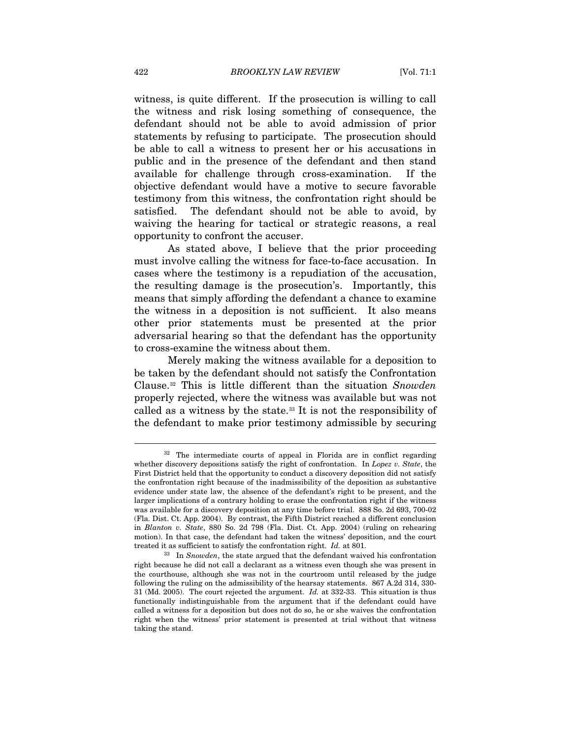witness, is quite different. If the prosecution is willing to call the witness and risk losing something of consequence, the defendant should not be able to avoid admission of prior statements by refusing to participate. The prosecution should be able to call a witness to present her or his accusations in public and in the presence of the defendant and then stand available for challenge through cross-examination. If the objective defendant would have a motive to secure favorable testimony from this witness, the confrontation right should be satisfied. The defendant should not be able to avoid, by waiving the hearing for tactical or strategic reasons, a real opportunity to confront the accuser.

As stated above, I believe that the prior proceeding must involve calling the witness for face-to-face accusation. In cases where the testimony is a repudiation of the accusation, the resulting damage is the prosecution's. Importantly, this means that simply affording the defendant a chance to examine the witness in a deposition is not sufficient. It also means other prior statements must be presented at the prior adversarial hearing so that the defendant has the opportunity to cross-examine the witness about them.

Merely making the witness available for a deposition to be taken by the defendant should not satisfy the Confrontation Clause.[3](#page-12-0)2 This is little different than the situation *Snowden* properly rejected, where the witness was available but was not called as a witness by the state.[3](#page-12-1)3 It is not the responsibility of the defendant to make prior testimony admissible by securing

<span id="page-12-0"></span><sup>&</sup>lt;sup>32</sup> The intermediate courts of appeal in Florida are in conflict regarding whether discovery depositions satisfy the right of confrontation. In *Lopez v. State*, the First District held that the opportunity to conduct a discovery deposition did not satisfy the confrontation right because of the inadmissibility of the deposition as substantive evidence under state law, the absence of the defendant's right to be present, and the larger implications of a contrary holding to erase the confrontation right if the witness was available for a discovery deposition at any time before trial. 888 So. 2d 693, 700-02 (Fla. Dist. Ct. App. 2004). By contrast, the Fifth District reached a different conclusion in *Blanton v. State*, 880 So. 2d 798 (Fla. Dist. Ct. App. 2004) (ruling on rehearing motion). In that case, the defendant had taken the witness' deposition, and the court treated it as sufficient to satisfy the confrontation right. *Id.* at 801.<br><sup>33</sup> In *Snowden*, the state argued that the defendant waived his confrontation

<span id="page-12-1"></span>right because he did not call a declarant as a witness even though she was present in the courthouse, although she was not in the courtroom until released by the judge following the ruling on the admissibility of the hearsay statements. 867 A.2d 314, 330- 31 (Md. 2005). The court rejected the argument. *Id.* at 332-33. This situation is thus functionally indistinguishable from the argument that if the defendant could have called a witness for a deposition but does not do so, he or she waives the confrontation right when the witness' prior statement is presented at trial without that witness taking the stand.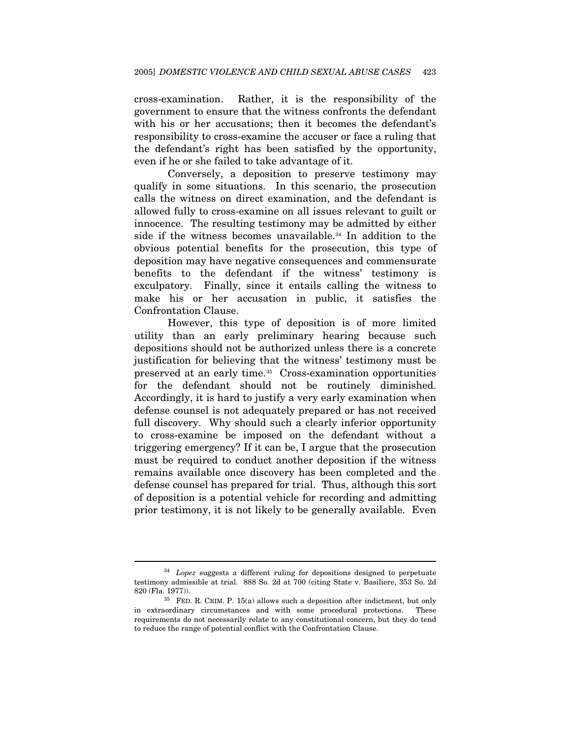cross-examination. Rather, it is the responsibility of the government to ensure that the witness confronts the defendant with his or her accusations; then it becomes the defendant's responsibility to cross-examine the accuser or face a ruling that the defendant's right has been satisfied by the opportunity, even if he or she failed to take advantage of it.

Conversely, a deposition to preserve testimony may qualify in some situations. In this scenario, the prosecution calls the witness on direct examination, and the defendant is allowed fully to cross-examine on all issues relevant to guilt or innocence. The resulting testimony may be admitted by either side if the witness becomes unavailable.<sup>[3](#page-13-0)4</sup> In addition to the obvious potential benefits for the prosecution, this type of deposition may have negative consequences and commensurate benefits to the defendant if the witness' testimony is exculpatory. Finally, since it entails calling the witness to make his or her accusation in public, it satisfies the Confrontation Clause.

However, this type of deposition is of more limited utility than an early preliminary hearing because such depositions should not be authorized unless there is a concrete justification for believing that the witness' testimony must be preserved at an early time.[35](#page-13-1) Cross-examination opportunities for the defendant should not be routinely diminished. Accordingly, it is hard to justify a very early examination when defense counsel is not adequately prepared or has not received full discovery. Why should such a clearly inferior opportunity to cross-examine be imposed on the defendant without a triggering emergency? If it can be, I argue that the prosecution must be required to conduct another deposition if the witness remains available once discovery has been completed and the defense counsel has prepared for trial. Thus, although this sort of deposition is a potential vehicle for recording and admitting prior testimony, it is not likely to be generally available. Even

l

<span id="page-13-0"></span><sup>34</sup> *Lopez* suggests a different ruling for depositions designed to perpetuate testimony admissible at trial. 888 So. 2d at 700 (citing State v. Basiliere, 353 So. 2d 820 (Fla. 1977)).  $35$  FED. R. CRIM. P. 15(a) allows such a deposition after indictment, but only

<span id="page-13-1"></span>in extraordinary circumstances and with some procedural protections. These requirements do not necessarily relate to any constitutional concern, but they do tend to reduce the range of potential conflict with the Confrontation Clause.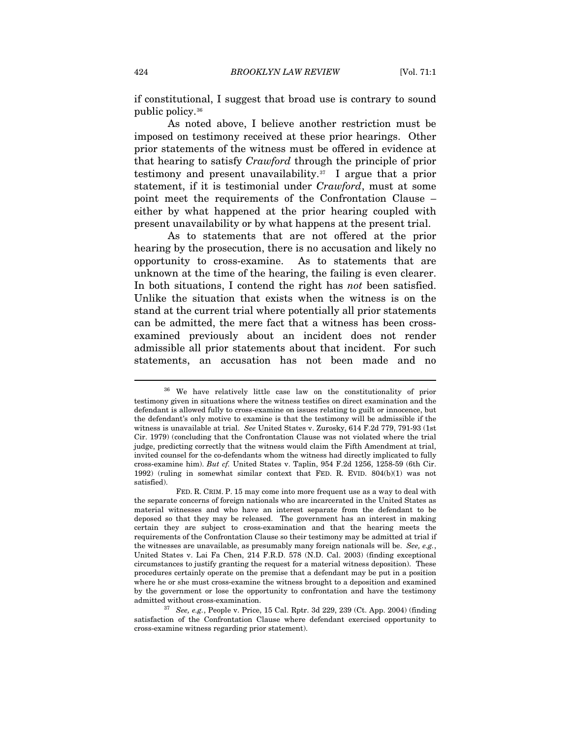if constitutional, I suggest that broad use is contrary to sound public policy.[3](#page-14-0)6

As noted above, I believe another restriction must be imposed on testimony received at these prior hearings. Other prior statements of the witness must be offered in evidence at that hearing to satisfy *Crawford* through the principle of prior testimony and present unavailability.<sup>[3](#page-14-1)7</sup> I argue that a prior statement, if it is testimonial under *Crawford*, must at some point meet the requirements of the Confrontation Clause – either by what happened at the prior hearing coupled with present unavailability or by what happens at the present trial.

As to statements that are not offered at the prior hearing by the prosecution, there is no accusation and likely no opportunity to cross-examine. As to statements that are unknown at the time of the hearing, the failing is even clearer. In both situations, I contend the right has *not* been satisfied. Unlike the situation that exists when the witness is on the stand at the current trial where potentially all prior statements can be admitted, the mere fact that a witness has been crossexamined previously about an incident does not render admissible all prior statements about that incident. For such statements, an accusation has not been made and no

<span id="page-14-0"></span><sup>36</sup> We have relatively little case law on the constitutionality of prior testimony given in situations where the witness testifies on direct examination and the defendant is allowed fully to cross-examine on issues relating to guilt or innocence, but the defendant's only motive to examine is that the testimony will be admissible if the witness is unavailable at trial. *See* United States v. Zurosky, 614 F.2d 779, 791-93 (1st Cir. 1979) (concluding that the Confrontation Clause was not violated where the trial judge, predicting correctly that the witness would claim the Fifth Amendment at trial, invited counsel for the co-defendants whom the witness had directly implicated to fully cross-examine him). *But cf.* United States v. Taplin, 954 F.2d 1256, 1258-59 (6th Cir. 1992) (ruling in somewhat similar context that FED. R. EVID. 804(b)(1) was not satisfied).

FED. R. CRIM. P. 15 may come into more frequent use as a way to deal with the separate concerns of foreign nationals who are incarcerated in the United States as material witnesses and who have an interest separate from the defendant to be deposed so that they may be released. The government has an interest in making certain they are subject to cross-examination and that the hearing meets the requirements of the Confrontation Clause so their testimony may be admitted at trial if the witnesses are unavailable, as presumably many foreign nationals will be. *See, e.g.*, United States v. Lai Fa Chen, 214 F.R.D. 578 (N.D. Cal. 2003) (finding exceptional circumstances to justify granting the request for a material witness deposition). These procedures certainly operate on the premise that a defendant may be put in a position where he or she must cross-examine the witness brought to a deposition and examined by the government or lose the opportunity to confrontation and have the testimony admitted without cross-examination. 37 *See, e.g.*, People v. Price, 15 Cal. Rptr. 3d 229, 239 (Ct. App. 2004) (finding

<span id="page-14-1"></span>satisfaction of the Confrontation Clause where defendant exercised opportunity to cross-examine witness regarding prior statement).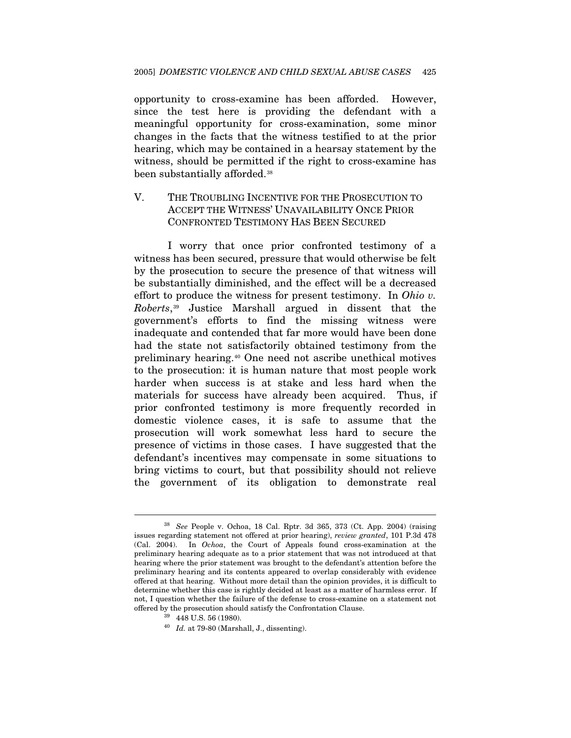opportunity to cross-examine has been afforded. However, since the test here is providing the defendant with a meaningful opportunity for cross-examination, some minor changes in the facts that the witness testified to at the prior hearing, which may be contained in a hearsay statement by the witness, should be permitted if the right to cross-examine has been substantially afforded.[3](#page-15-0)8

#### V. THE TROUBLING INCENTIVE FOR THE PROSECUTION TO ACCEPT THE WITNESS' UNAVAILABILITY ONCE PRIOR CONFRONTED TESTIMONY HAS BEEN SECURED

I worry that once prior confronted testimony of a witness has been secured, pressure that would otherwise be felt by the prosecution to secure the presence of that witness will be substantially diminished, and the effect will be a decreased effort to produce the witness for present testimony. In *Ohio v. Roberts*,[39](#page-15-1) Justice Marshall argued in dissent that the government's efforts to find the missing witness were inadequate and contended that far more would have been done had the state not satisfactorily obtained testimony from the preliminary hearing.[40](#page-15-2) One need not ascribe unethical motives to the prosecution: it is human nature that most people work harder when success is at stake and less hard when the materials for success have already been acquired. Thus, if prior confronted testimony is more frequently recorded in domestic violence cases, it is safe to assume that the prosecution will work somewhat less hard to secure the presence of victims in those cases. I have suggested that the defendant's incentives may compensate in some situations to bring victims to court, but that possibility should not relieve the government of its obligation to demonstrate real

<span id="page-15-1"></span><span id="page-15-0"></span><sup>38</sup> *See* People v. Ochoa, 18 Cal. Rptr. 3d 365, 373 (Ct. App. 2004) (raising issues regarding statement not offered at prior hearing), *review granted*, 101 P.3d 478 (Cal. 2004). In *Ochoa*, the Court of Appeals found cross-examination at the preliminary hearing adequate as to a prior statement that was not introduced at that hearing where the prior statement was brought to the defendant's attention before the preliminary hearing and its contents appeared to overlap considerably with evidence offered at that hearing. Without more detail than the opinion provides, it is difficult to determine whether this case is rightly decided at least as a matter of harmless error. If not, I question whether the failure of the defense to cross-examine on a statement not offered by the prosecution should satisfy the Confrontation Clause. 39 448 U.S. 56 (1980).

<span id="page-15-2"></span>

<sup>40</sup> *Id.* at 79-80 (Marshall, J., dissenting).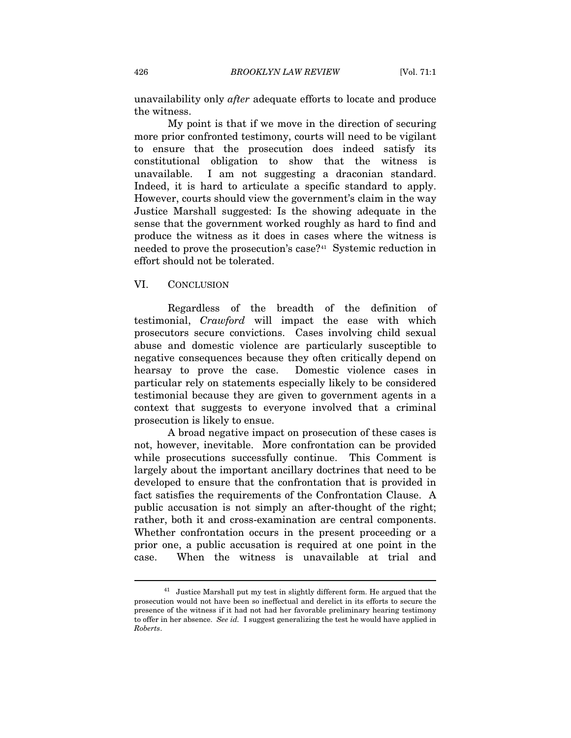unavailability only *after* adequate efforts to locate and produce the witness.

My point is that if we move in the direction of securing more prior confronted testimony, courts will need to be vigilant to ensure that the prosecution does indeed satisfy its constitutional obligation to show that the witness is unavailable. I am not suggesting a draconian standard. Indeed, it is hard to articulate a specific standard to apply. However, courts should view the government's claim in the way Justice Marshall suggested: Is the showing adequate in the sense that the government worked roughly as hard to find and produce the witness as it does in cases where the witness is needed to prove the prosecution's case?[4](#page-16-0)1 Systemic reduction in effort should not be tolerated.

#### VI. CONCLUSION

 $\overline{a}$ 

Regardless of the breadth of the definition of testimonial, *Crawford* will impact the ease with which prosecutors secure convictions. Cases involving child sexual abuse and domestic violence are particularly susceptible to negative consequences because they often critically depend on hearsay to prove the case. Domestic violence cases in particular rely on statements especially likely to be considered testimonial because they are given to government agents in a context that suggests to everyone involved that a criminal prosecution is likely to ensue.

A broad negative impact on prosecution of these cases is not, however, inevitable. More confrontation can be provided while prosecutions successfully continue. This Comment is largely about the important ancillary doctrines that need to be developed to ensure that the confrontation that is provided in fact satisfies the requirements of the Confrontation Clause. A public accusation is not simply an after-thought of the right; rather, both it and cross-examination are central components. Whether confrontation occurs in the present proceeding or a prior one, a public accusation is required at one point in the case. When the witness is unavailable at trial and

<span id="page-16-0"></span><sup>&</sup>lt;sup>41</sup> Justice Marshall put my test in slightly different form. He argued that the prosecution would not have been so ineffectual and derelict in its efforts to secure the presence of the witness if it had not had her favorable preliminary hearing testimony to offer in her absence. *See id.* I suggest generalizing the test he would have applied in *Roberts*.